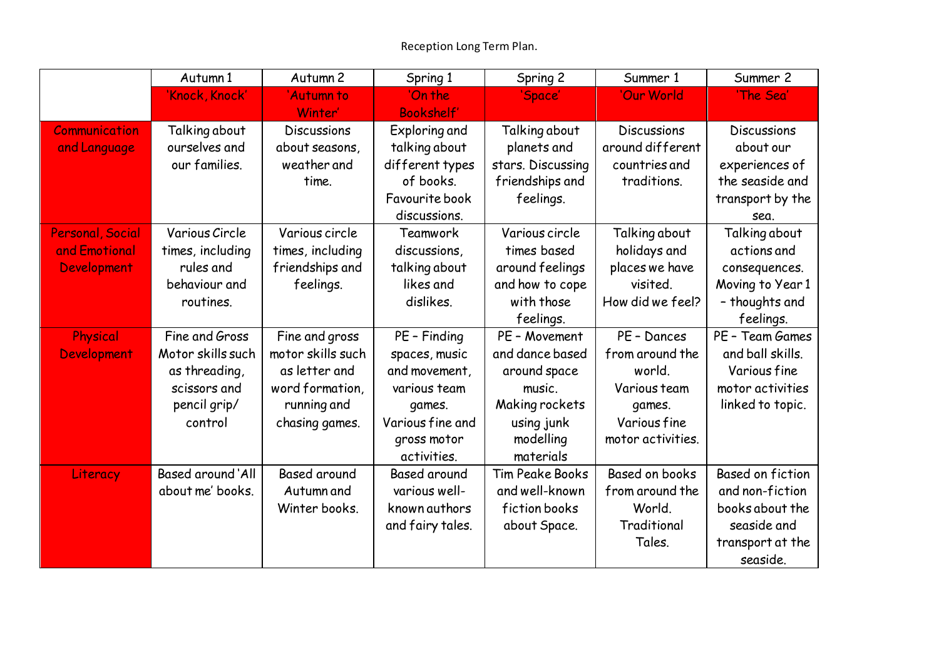|                         | Autumn 1          | Autumn <sub>2</sub> | Spring 1            | Spring 2               | Summer 1           | Summer 2                |
|-------------------------|-------------------|---------------------|---------------------|------------------------|--------------------|-------------------------|
|                         | 'Knock, Knock'    | 'Autumn to          | 'On the             | 'Space'                | 'Our World         | 'The Sea'               |
|                         |                   | Winter'             | <b>Bookshelf'</b>   |                        |                    |                         |
| <b>Communication</b>    | Talking about     | <b>Discussions</b>  | Exploring and       | Talking about          | <b>Discussions</b> | Discussions             |
| and Language            | ourselves and     | about seasons,      | talking about       | planets and            | around different   | about our               |
|                         | our families.     | weather and         | different types     | stars. Discussing      | countries and      | experiences of          |
|                         |                   | time.               | of books.           | friendships and        | traditions.        | the seaside and         |
|                         |                   |                     | Favourite book      | feelings.              |                    | transport by the        |
|                         |                   |                     | discussions.        |                        |                    | sea.                    |
| <b>Personal, Social</b> | Various Circle    | Various circle      | Teamwork            | Various circle         | Talking about      | Talking about           |
| and Emotional           | times, including  | times, including    | discussions.        | times based            | holidays and       | actions and             |
| Development             | rules and         | friendships and     | talking about       | around feelings        | places we have     | consequences.           |
|                         | behaviour and     | feelings.           | likes and           | and how to cope        | visited.           | Moving to Year 1        |
|                         | routines.         |                     | dislikes.           | with those             | How did we feel?   | - thoughts and          |
|                         |                   |                     |                     | feelings.              |                    | feelings.               |
| Physical                | Fine and Gross    | Fine and gross      | PE - Finding        | PE - Movement          | PE - Dances        | PE - Team Games         |
| Development             | Motor skills such | motor skills such   | spaces, music       | and dance based        | from around the    | and ball skills.        |
|                         | as threading,     | as letter and       | and movement,       | around space           | world.             | Various fine            |
|                         | scissors and      | word formation,     | various team        | music.                 | Various team       | motor activities        |
|                         | pencil grip/      | running and         | games.              | Making rockets         | games.             | linked to topic.        |
|                         | control           | chasing games.      | Various fine and    | using junk             | Various fine       |                         |
|                         |                   |                     | gross motor         | modelling              | motor activities.  |                         |
|                         |                   |                     | activities.         | materials              |                    |                         |
| Literacy                | Based around 'All | <b>Based around</b> | <b>Based around</b> | <b>Tim Peake Books</b> | Based on books     | <b>Based on fiction</b> |
|                         | about me' books.  | Autumn and          | various well-       | and well-known         | from around the    | and non-fiction         |
|                         |                   | Winter books.       | known authors       | fiction books          | World.             | books about the         |
|                         |                   |                     | and fairy tales.    | about Space.           | Traditional        | seaside and             |
|                         |                   |                     |                     |                        | Tales.             | transport at the        |
|                         |                   |                     |                     |                        |                    | seaside.                |